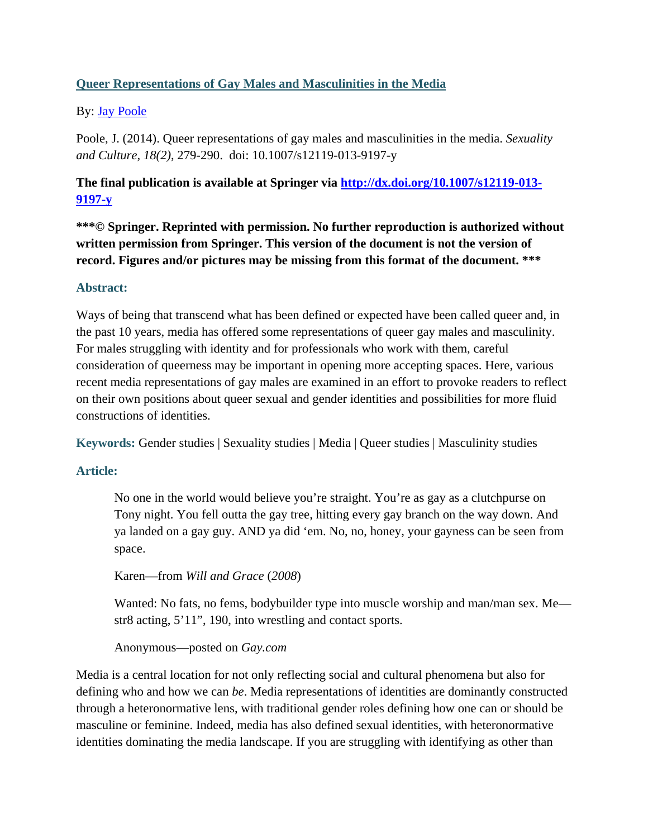## **Queer Representations of Gay Males and Masculinities in the Media**

### By: Jay Poole

Poole, J. (2014). Queer representations of gay males and masculinities in the media. *Sexuality and Culture*, *18(2)*, 279-290. doi: 10.1007/s12119-013-9197-y

# **The final publication is available at Springer via http://dx.doi.org/10.1007/s12119-013- 9197-y**

**\*\*\*© Springer. Reprinted with permission. No further reproduction is authorized without written permission from Springer. This version of the document is not the version of record. Figures and/or pictures may be missing from this format of the document. \*\*\*** 

#### **Abstract:**

Ways of being that transcend what has been defined or expected have been called queer and, in the past 10 years, media has offered some representations of queer gay males and masculinity. For males struggling with identity and for professionals who work with them, careful consideration of queerness may be important in opening more accepting spaces. Here, various recent media representations of gay males are examined in an effort to provoke readers to reflect on their own positions about queer sexual and gender identities and possibilities for more fluid constructions of identities.

**Keywords:** Gender studies | Sexuality studies | Media | Queer studies | Masculinity studies

### **Article:**

No one in the world would believe you're straight. You're as gay as a clutchpurse on Tony night. You fell outta the gay tree, hitting every gay branch on the way down. And ya landed on a gay guy. AND ya did 'em. No, no, honey, your gayness can be seen from space.

### Karen—from *Will and Grace* (*2008*)

Wanted: No fats, no fems, bodybuilder type into muscle worship and man/man sex. Me str8 acting, 5'11", 190, into wrestling and contact sports.

### Anonymous—posted on *Gay.com*

Media is a central location for not only reflecting social and cultural phenomena but also for defining who and how we can *be*. Media representations of identities are dominantly constructed through a heteronormative lens, with traditional gender roles defining how one can or should be masculine or feminine. Indeed, media has also defined sexual identities, with heteronormative identities dominating the media landscape. If you are struggling with identifying as other than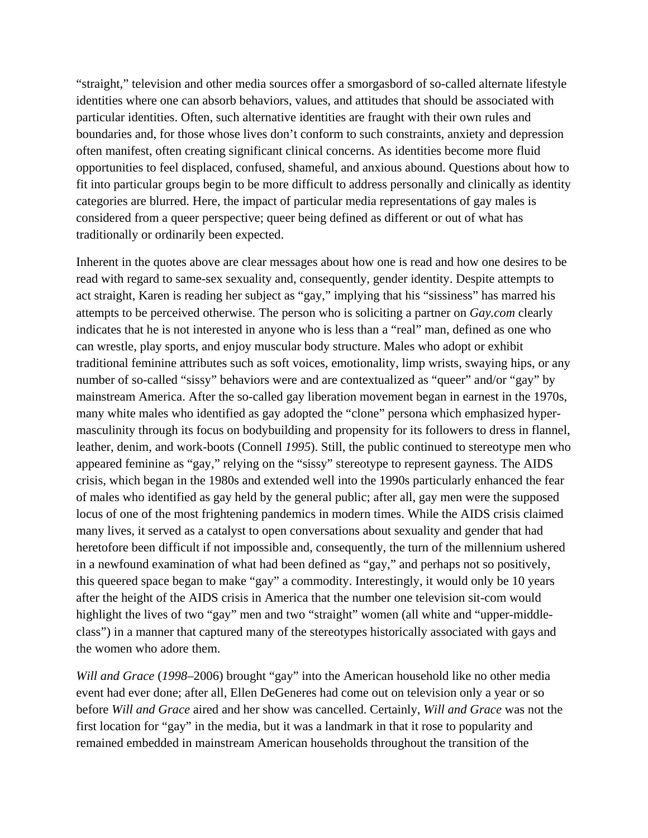"straight," television and other media sources offer a smorgasbord of so-called alternate lifestyle identities where one can absorb behaviors, values, and attitudes that should be associated with particular identities. Often, such alternative identities are fraught with their own rules and boundaries and, for those whose lives don't conform to such constraints, anxiety and depression often manifest, often creating significant clinical concerns. As identities become more fluid opportunities to feel displaced, confused, shameful, and anxious abound. Questions about how to fit into particular groups begin to be more difficult to address personally and clinically as identity categories are blurred. Here, the impact of particular media representations of gay males is considered from a queer perspective; queer being defined as different or out of what has traditionally or ordinarily been expected.

Inherent in the quotes above are clear messages about how one is read and how one desires to be read with regard to same-sex sexuality and, consequently, gender identity. Despite attempts to act straight, Karen is reading her subject as "gay," implying that his "sissiness" has marred his attempts to be perceived otherwise. The person who is soliciting a partner on *Gay.com* clearly indicates that he is not interested in anyone who is less than a "real" man, defined as one who can wrestle, play sports, and enjoy muscular body structure. Males who adopt or exhibit traditional feminine attributes such as soft voices, emotionality, limp wrists, swaying hips, or any number of so-called "sissy" behaviors were and are contextualized as "queer" and/or "gay" by mainstream America. After the so-called gay liberation movement began in earnest in the 1970s, many white males who identified as gay adopted the "clone" persona which emphasized hypermasculinity through its focus on bodybuilding and propensity for its followers to dress in flannel, leather, denim, and work-boots (Connell *1995*). Still, the public continued to stereotype men who appeared feminine as "gay," relying on the "sissy" stereotype to represent gayness. The AIDS crisis, which began in the 1980s and extended well into the 1990s particularly enhanced the fear of males who identified as gay held by the general public; after all, gay men were the supposed locus of one of the most frightening pandemics in modern times. While the AIDS crisis claimed many lives, it served as a catalyst to open conversations about sexuality and gender that had heretofore been difficult if not impossible and, consequently, the turn of the millennium ushered in a newfound examination of what had been defined as "gay," and perhaps not so positively, this queered space began to make "gay" a commodity. Interestingly, it would only be 10 years after the height of the AIDS crisis in America that the number one television sit-com would highlight the lives of two "gay" men and two "straight" women (all white and "upper-middleclass") in a manner that captured many of the stereotypes historically associated with gays and the women who adore them.

*Will and Grace* (*1998*–2006) brought "gay" into the American household like no other media event had ever done; after all, Ellen DeGeneres had come out on television only a year or so before *Will and Grace* aired and her show was cancelled. Certainly, *Will and Grace* was not the first location for "gay" in the media, but it was a landmark in that it rose to popularity and remained embedded in mainstream American households throughout the transition of the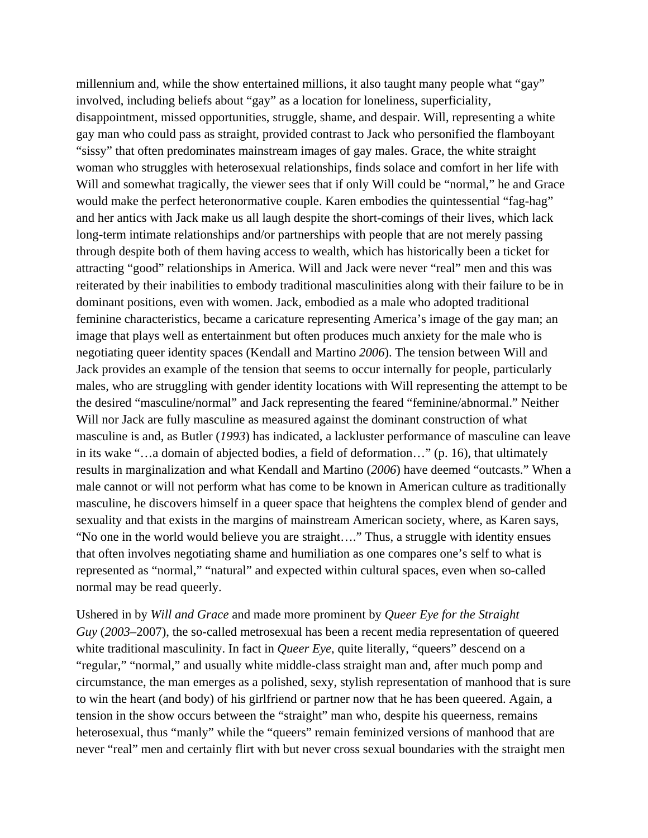millennium and, while the show entertained millions, it also taught many people what "gay" involved, including beliefs about "gay" as a location for loneliness, superficiality, disappointment, missed opportunities, struggle, shame, and despair. Will, representing a white gay man who could pass as straight, provided contrast to Jack who personified the flamboyant "sissy" that often predominates mainstream images of gay males. Grace, the white straight woman who struggles with heterosexual relationships, finds solace and comfort in her life with Will and somewhat tragically, the viewer sees that if only Will could be "normal," he and Grace would make the perfect heteronormative couple. Karen embodies the quintessential "fag-hag" and her antics with Jack make us all laugh despite the short-comings of their lives, which lack long-term intimate relationships and/or partnerships with people that are not merely passing through despite both of them having access to wealth, which has historically been a ticket for attracting "good" relationships in America. Will and Jack were never "real" men and this was reiterated by their inabilities to embody traditional masculinities along with their failure to be in dominant positions, even with women. Jack, embodied as a male who adopted traditional feminine characteristics, became a caricature representing America's image of the gay man; an image that plays well as entertainment but often produces much anxiety for the male who is negotiating queer identity spaces (Kendall and Martino *2006*). The tension between Will and Jack provides an example of the tension that seems to occur internally for people, particularly males, who are struggling with gender identity locations with Will representing the attempt to be the desired "masculine/normal" and Jack representing the feared "feminine/abnormal." Neither Will nor Jack are fully masculine as measured against the dominant construction of what masculine is and, as Butler (*1993*) has indicated, a lackluster performance of masculine can leave in its wake "…a domain of abjected bodies, a field of deformation…" (p. 16), that ultimately results in marginalization and what Kendall and Martino (*2006*) have deemed "outcasts." When a male cannot or will not perform what has come to be known in American culture as traditionally masculine, he discovers himself in a queer space that heightens the complex blend of gender and sexuality and that exists in the margins of mainstream American society, where, as Karen says, "No one in the world would believe you are straight…." Thus, a struggle with identity ensues that often involves negotiating shame and humiliation as one compares one's self to what is represented as "normal," "natural" and expected within cultural spaces, even when so-called normal may be read queerly.

Ushered in by *Will and Grace* and made more prominent by *Queer Eye for the Straight Guy* (*2003*–2007), the so-called metrosexual has been a recent media representation of queered white traditional masculinity. In fact in *Queer Eye*, quite literally, "queers" descend on a "regular," "normal," and usually white middle-class straight man and, after much pomp and circumstance, the man emerges as a polished, sexy, stylish representation of manhood that is sure to win the heart (and body) of his girlfriend or partner now that he has been queered. Again, a tension in the show occurs between the "straight" man who, despite his queerness, remains heterosexual, thus "manly" while the "queers" remain feminized versions of manhood that are never "real" men and certainly flirt with but never cross sexual boundaries with the straight men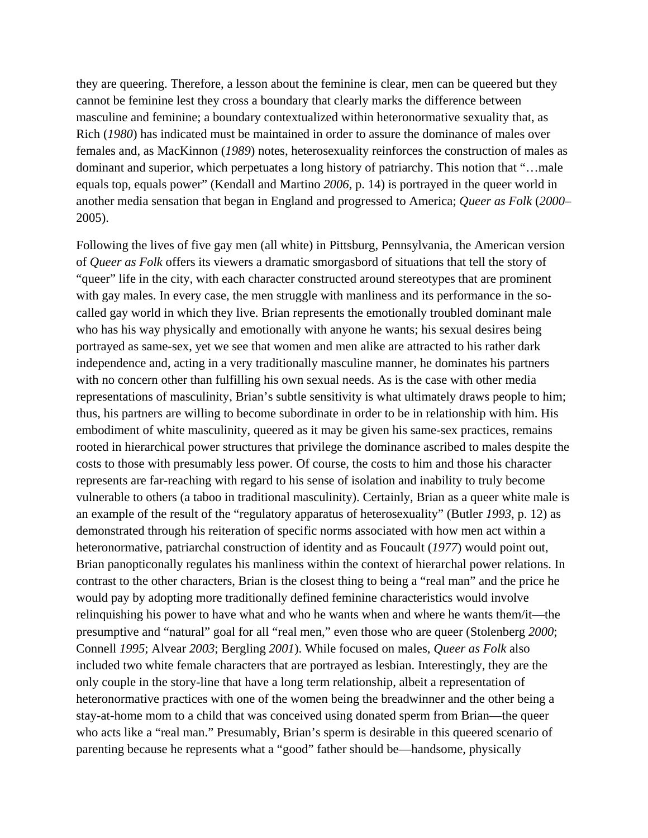they are queering. Therefore, a lesson about the feminine is clear, men can be queered but they cannot be feminine lest they cross a boundary that clearly marks the difference between masculine and feminine; a boundary contextualized within heteronormative sexuality that, as Rich (*1980*) has indicated must be maintained in order to assure the dominance of males over females and, as MacKinnon (*1989*) notes, heterosexuality reinforces the construction of males as dominant and superior, which perpetuates a long history of patriarchy. This notion that "…male equals top, equals power" (Kendall and Martino *2006*, p. 14) is portrayed in the queer world in another media sensation that began in England and progressed to America; *Queer as Folk* (*2000*– 2005).

Following the lives of five gay men (all white) in Pittsburg, Pennsylvania, the American version of *Queer as Folk* offers its viewers a dramatic smorgasbord of situations that tell the story of "queer" life in the city, with each character constructed around stereotypes that are prominent with gay males. In every case, the men struggle with manliness and its performance in the socalled gay world in which they live. Brian represents the emotionally troubled dominant male who has his way physically and emotionally with anyone he wants; his sexual desires being portrayed as same-sex, yet we see that women and men alike are attracted to his rather dark independence and, acting in a very traditionally masculine manner, he dominates his partners with no concern other than fulfilling his own sexual needs. As is the case with other media representations of masculinity, Brian's subtle sensitivity is what ultimately draws people to him; thus, his partners are willing to become subordinate in order to be in relationship with him. His embodiment of white masculinity, queered as it may be given his same-sex practices, remains rooted in hierarchical power structures that privilege the dominance ascribed to males despite the costs to those with presumably less power. Of course, the costs to him and those his character represents are far-reaching with regard to his sense of isolation and inability to truly become vulnerable to others (a taboo in traditional masculinity). Certainly, Brian as a queer white male is an example of the result of the "regulatory apparatus of heterosexuality" (Butler *1993*, p. 12) as demonstrated through his reiteration of specific norms associated with how men act within a heteronormative, patriarchal construction of identity and as Foucault (*1977*) would point out, Brian panopticonally regulates his manliness within the context of hierarchal power relations. In contrast to the other characters, Brian is the closest thing to being a "real man" and the price he would pay by adopting more traditionally defined feminine characteristics would involve relinquishing his power to have what and who he wants when and where he wants them/it—the presumptive and "natural" goal for all "real men," even those who are queer (Stolenberg *2000*; Connell *1995*; Alvear *2003*; Bergling *2001*). While focused on males, *Queer as Folk* also included two white female characters that are portrayed as lesbian. Interestingly, they are the only couple in the story-line that have a long term relationship, albeit a representation of heteronormative practices with one of the women being the breadwinner and the other being a stay-at-home mom to a child that was conceived using donated sperm from Brian—the queer who acts like a "real man." Presumably, Brian's sperm is desirable in this queered scenario of parenting because he represents what a "good" father should be—handsome, physically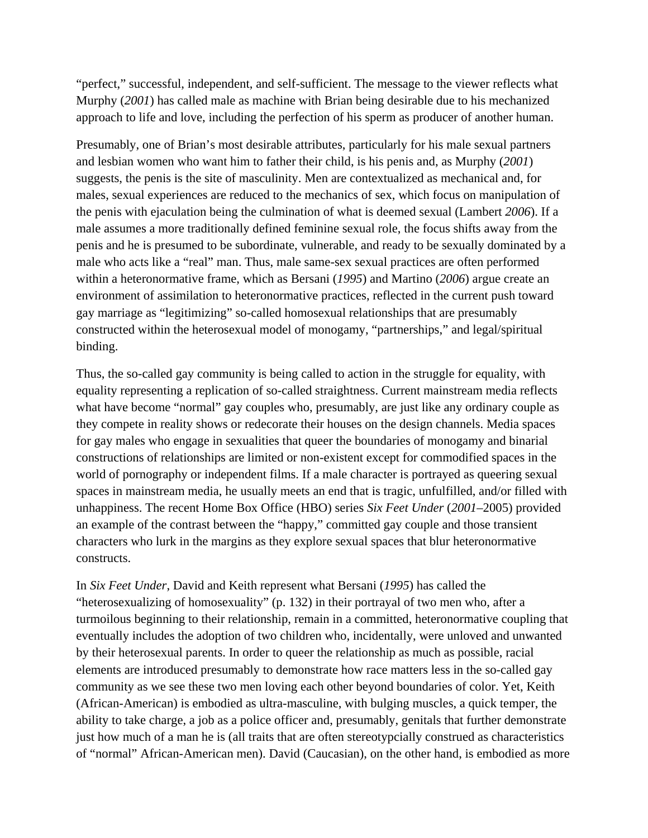"perfect," successful, independent, and self-sufficient. The message to the viewer reflects what Murphy (*2001*) has called male as machine with Brian being desirable due to his mechanized approach to life and love, including the perfection of his sperm as producer of another human.

Presumably, one of Brian's most desirable attributes, particularly for his male sexual partners and lesbian women who want him to father their child, is his penis and, as Murphy (*2001*) suggests, the penis is the site of masculinity. Men are contextualized as mechanical and, for males, sexual experiences are reduced to the mechanics of sex, which focus on manipulation of the penis with ejaculation being the culmination of what is deemed sexual (Lambert *2006*). If a male assumes a more traditionally defined feminine sexual role, the focus shifts away from the penis and he is presumed to be subordinate, vulnerable, and ready to be sexually dominated by a male who acts like a "real" man. Thus, male same-sex sexual practices are often performed within a heteronormative frame, which as Bersani (*1995*) and Martino (*2006*) argue create an environment of assimilation to heteronormative practices, reflected in the current push toward gay marriage as "legitimizing" so-called homosexual relationships that are presumably constructed within the heterosexual model of monogamy, "partnerships," and legal/spiritual binding.

Thus, the so-called gay community is being called to action in the struggle for equality, with equality representing a replication of so-called straightness. Current mainstream media reflects what have become "normal" gay couples who, presumably, are just like any ordinary couple as they compete in reality shows or redecorate their houses on the design channels. Media spaces for gay males who engage in sexualities that queer the boundaries of monogamy and binarial constructions of relationships are limited or non-existent except for commodified spaces in the world of pornography or independent films. If a male character is portrayed as queering sexual spaces in mainstream media, he usually meets an end that is tragic, unfulfilled, and/or filled with unhappiness. The recent Home Box Office (HBO) series *Six Feet Under* (*2001*–2005) provided an example of the contrast between the "happy," committed gay couple and those transient characters who lurk in the margins as they explore sexual spaces that blur heteronormative constructs.

In *Six Feet Under*, David and Keith represent what Bersani (*1995*) has called the "heterosexualizing of homosexuality" (p. 132) in their portrayal of two men who, after a turmoilous beginning to their relationship, remain in a committed, heteronormative coupling that eventually includes the adoption of two children who, incidentally, were unloved and unwanted by their heterosexual parents. In order to queer the relationship as much as possible, racial elements are introduced presumably to demonstrate how race matters less in the so-called gay community as we see these two men loving each other beyond boundaries of color. Yet, Keith (African-American) is embodied as ultra-masculine, with bulging muscles, a quick temper, the ability to take charge, a job as a police officer and, presumably, genitals that further demonstrate just how much of a man he is (all traits that are often stereotypcially construed as characteristics of "normal" African-American men). David (Caucasian), on the other hand, is embodied as more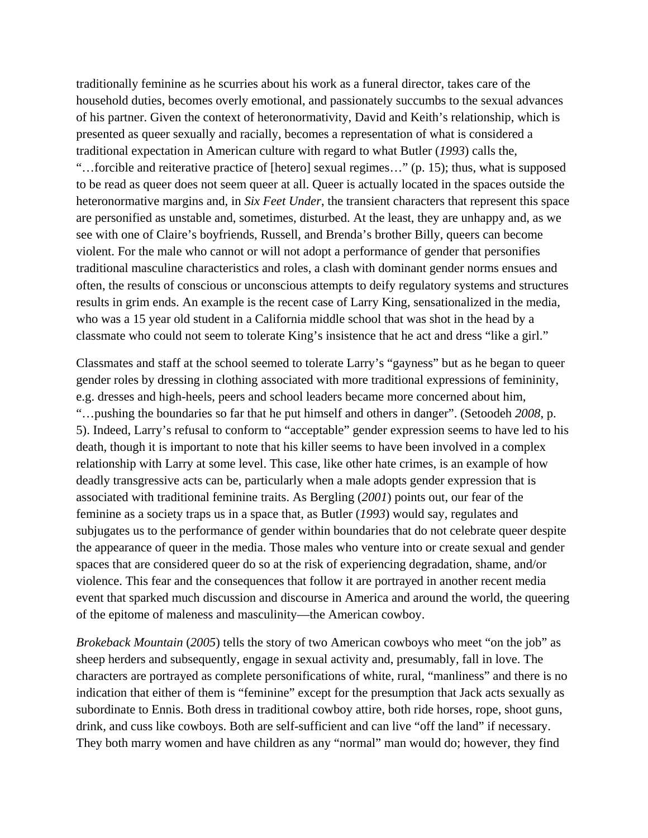traditionally feminine as he scurries about his work as a funeral director, takes care of the household duties, becomes overly emotional, and passionately succumbs to the sexual advances of his partner. Given the context of heteronormativity, David and Keith's relationship, which is presented as queer sexually and racially, becomes a representation of what is considered a traditional expectation in American culture with regard to what Butler (*1993*) calls the, "…forcible and reiterative practice of [hetero] sexual regimes…" (p. 15); thus, what is supposed to be read as queer does not seem queer at all. Queer is actually located in the spaces outside the heteronormative margins and, in *Six Feet Under*, the transient characters that represent this space are personified as unstable and, sometimes, disturbed. At the least, they are unhappy and, as we see with one of Claire's boyfriends, Russell, and Brenda's brother Billy, queers can become violent. For the male who cannot or will not adopt a performance of gender that personifies traditional masculine characteristics and roles, a clash with dominant gender norms ensues and often, the results of conscious or unconscious attempts to deify regulatory systems and structures results in grim ends. An example is the recent case of Larry King, sensationalized in the media, who was a 15 year old student in a California middle school that was shot in the head by a classmate who could not seem to tolerate King's insistence that he act and dress "like a girl."

Classmates and staff at the school seemed to tolerate Larry's "gayness" but as he began to queer gender roles by dressing in clothing associated with more traditional expressions of femininity, e.g. dresses and high-heels, peers and school leaders became more concerned about him, "…pushing the boundaries so far that he put himself and others in danger". (Setoodeh *2008*, p. 5). Indeed, Larry's refusal to conform to "acceptable" gender expression seems to have led to his death, though it is important to note that his killer seems to have been involved in a complex relationship with Larry at some level. This case, like other hate crimes, is an example of how deadly transgressive acts can be, particularly when a male adopts gender expression that is associated with traditional feminine traits. As Bergling (*2001*) points out, our fear of the feminine as a society traps us in a space that, as Butler (*1993*) would say, regulates and subjugates us to the performance of gender within boundaries that do not celebrate queer despite the appearance of queer in the media. Those males who venture into or create sexual and gender spaces that are considered queer do so at the risk of experiencing degradation, shame, and/or violence. This fear and the consequences that follow it are portrayed in another recent media event that sparked much discussion and discourse in America and around the world, the queering of the epitome of maleness and masculinity—the American cowboy.

*Brokeback Mountain* (*2005*) tells the story of two American cowboys who meet "on the job" as sheep herders and subsequently, engage in sexual activity and, presumably, fall in love. The characters are portrayed as complete personifications of white, rural, "manliness" and there is no indication that either of them is "feminine" except for the presumption that Jack acts sexually as subordinate to Ennis. Both dress in traditional cowboy attire, both ride horses, rope, shoot guns, drink, and cuss like cowboys. Both are self-sufficient and can live "off the land" if necessary. They both marry women and have children as any "normal" man would do; however, they find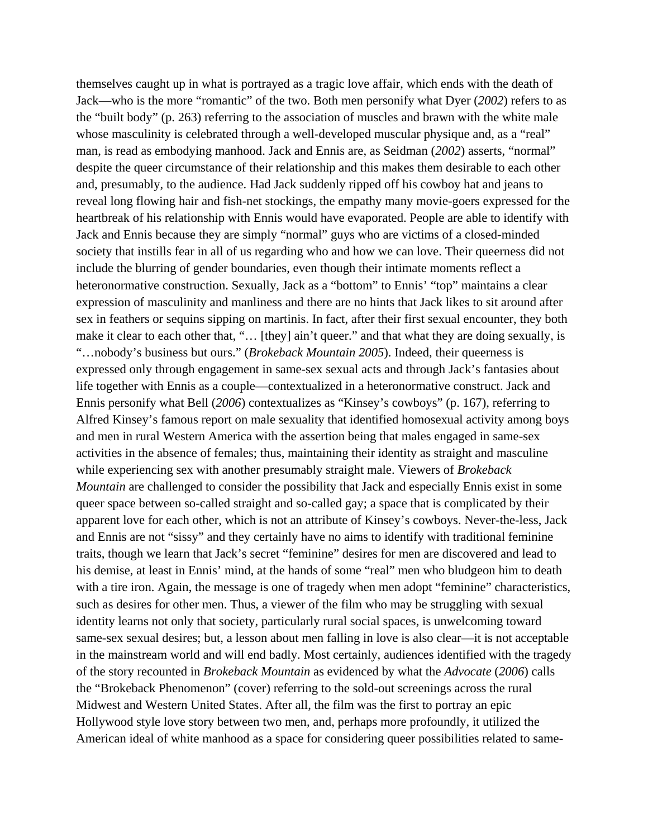themselves caught up in what is portrayed as a tragic love affair, which ends with the death of Jack—who is the more "romantic" of the two. Both men personify what Dyer (*2002*) refers to as the "built body" (p. 263) referring to the association of muscles and brawn with the white male whose masculinity is celebrated through a well-developed muscular physique and, as a "real" man, is read as embodying manhood. Jack and Ennis are, as Seidman (*2002*) asserts, "normal" despite the queer circumstance of their relationship and this makes them desirable to each other and, presumably, to the audience. Had Jack suddenly ripped off his cowboy hat and jeans to reveal long flowing hair and fish-net stockings, the empathy many movie-goers expressed for the heartbreak of his relationship with Ennis would have evaporated. People are able to identify with Jack and Ennis because they are simply "normal" guys who are victims of a closed-minded society that instills fear in all of us regarding who and how we can love. Their queerness did not include the blurring of gender boundaries, even though their intimate moments reflect a heteronormative construction. Sexually, Jack as a "bottom" to Ennis' "top" maintains a clear expression of masculinity and manliness and there are no hints that Jack likes to sit around after sex in feathers or sequins sipping on martinis. In fact, after their first sexual encounter, they both make it clear to each other that, "… [they] ain't queer." and that what they are doing sexually, is "…nobody's business but ours." (*Brokeback Mountain 2005*). Indeed, their queerness is expressed only through engagement in same-sex sexual acts and through Jack's fantasies about life together with Ennis as a couple—contextualized in a heteronormative construct. Jack and Ennis personify what Bell (*2006*) contextualizes as "Kinsey's cowboys" (p. 167), referring to Alfred Kinsey's famous report on male sexuality that identified homosexual activity among boys and men in rural Western America with the assertion being that males engaged in same-sex activities in the absence of females; thus, maintaining their identity as straight and masculine while experiencing sex with another presumably straight male. Viewers of *Brokeback Mountain* are challenged to consider the possibility that Jack and especially Ennis exist in some queer space between so-called straight and so-called gay; a space that is complicated by their apparent love for each other, which is not an attribute of Kinsey's cowboys. Never-the-less, Jack and Ennis are not "sissy" and they certainly have no aims to identify with traditional feminine traits, though we learn that Jack's secret "feminine" desires for men are discovered and lead to his demise, at least in Ennis' mind, at the hands of some "real" men who bludgeon him to death with a tire iron. Again, the message is one of tragedy when men adopt "feminine" characteristics, such as desires for other men. Thus, a viewer of the film who may be struggling with sexual identity learns not only that society, particularly rural social spaces, is unwelcoming toward same-sex sexual desires; but, a lesson about men falling in love is also clear—it is not acceptable in the mainstream world and will end badly. Most certainly, audiences identified with the tragedy of the story recounted in *Brokeback Mountain* as evidenced by what the *Advocate* (*2006*) calls the "Brokeback Phenomenon" (cover) referring to the sold-out screenings across the rural Midwest and Western United States. After all, the film was the first to portray an epic Hollywood style love story between two men, and, perhaps more profoundly, it utilized the American ideal of white manhood as a space for considering queer possibilities related to same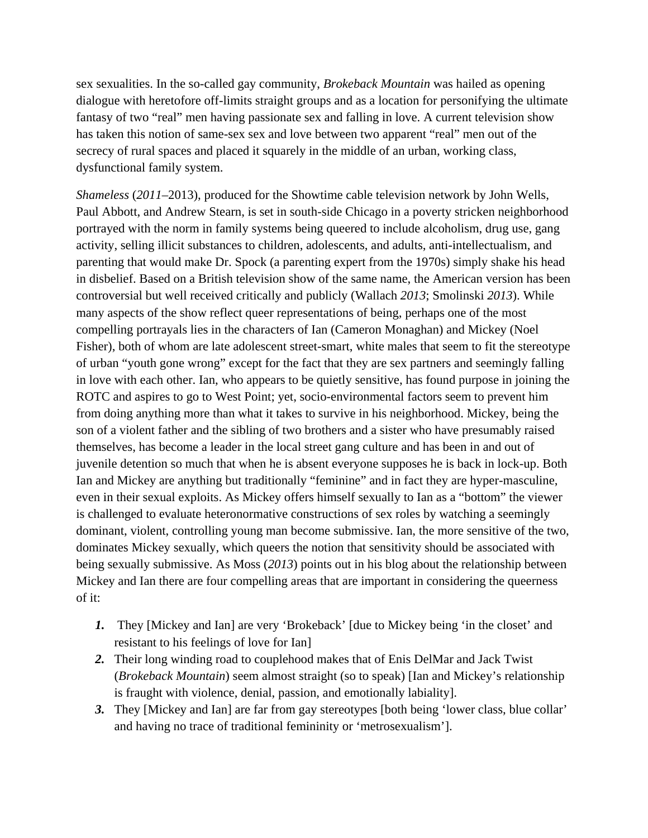sex sexualities. In the so-called gay community, *Brokeback Mountain* was hailed as opening dialogue with heretofore off-limits straight groups and as a location for personifying the ultimate fantasy of two "real" men having passionate sex and falling in love. A current television show has taken this notion of same-sex sex and love between two apparent "real" men out of the secrecy of rural spaces and placed it squarely in the middle of an urban, working class, dysfunctional family system.

*Shameless* (*2011*–2013), produced for the Showtime cable television network by John Wells, Paul Abbott, and Andrew Stearn, is set in south-side Chicago in a poverty stricken neighborhood portrayed with the norm in family systems being queered to include alcoholism, drug use, gang activity, selling illicit substances to children, adolescents, and adults, anti-intellectualism, and parenting that would make Dr. Spock (a parenting expert from the 1970s) simply shake his head in disbelief. Based on a British television show of the same name, the American version has been controversial but well received critically and publicly (Wallach *2013*; Smolinski *2013*). While many aspects of the show reflect queer representations of being, perhaps one of the most compelling portrayals lies in the characters of Ian (Cameron Monaghan) and Mickey (Noel Fisher), both of whom are late adolescent street-smart, white males that seem to fit the stereotype of urban "youth gone wrong" except for the fact that they are sex partners and seemingly falling in love with each other. Ian, who appears to be quietly sensitive, has found purpose in joining the ROTC and aspires to go to West Point; yet, socio-environmental factors seem to prevent him from doing anything more than what it takes to survive in his neighborhood. Mickey, being the son of a violent father and the sibling of two brothers and a sister who have presumably raised themselves, has become a leader in the local street gang culture and has been in and out of juvenile detention so much that when he is absent everyone supposes he is back in lock-up. Both Ian and Mickey are anything but traditionally "feminine" and in fact they are hyper-masculine, even in their sexual exploits. As Mickey offers himself sexually to Ian as a "bottom" the viewer is challenged to evaluate heteronormative constructions of sex roles by watching a seemingly dominant, violent, controlling young man become submissive. Ian, the more sensitive of the two, dominates Mickey sexually, which queers the notion that sensitivity should be associated with being sexually submissive. As Moss (*2013*) points out in his blog about the relationship between Mickey and Ian there are four compelling areas that are important in considering the queerness of it:

- *1.* They [Mickey and Ian] are very 'Brokeback' [due to Mickey being 'in the closet' and resistant to his feelings of love for Ian]
- *2.* Their long winding road to couplehood makes that of Enis DelMar and Jack Twist (*Brokeback Mountain*) seem almost straight (so to speak) [Ian and Mickey's relationship is fraught with violence, denial, passion, and emotionally labiality].
- *3.* They [Mickey and Ian] are far from gay stereotypes [both being 'lower class, blue collar' and having no trace of traditional femininity or 'metrosexualism'].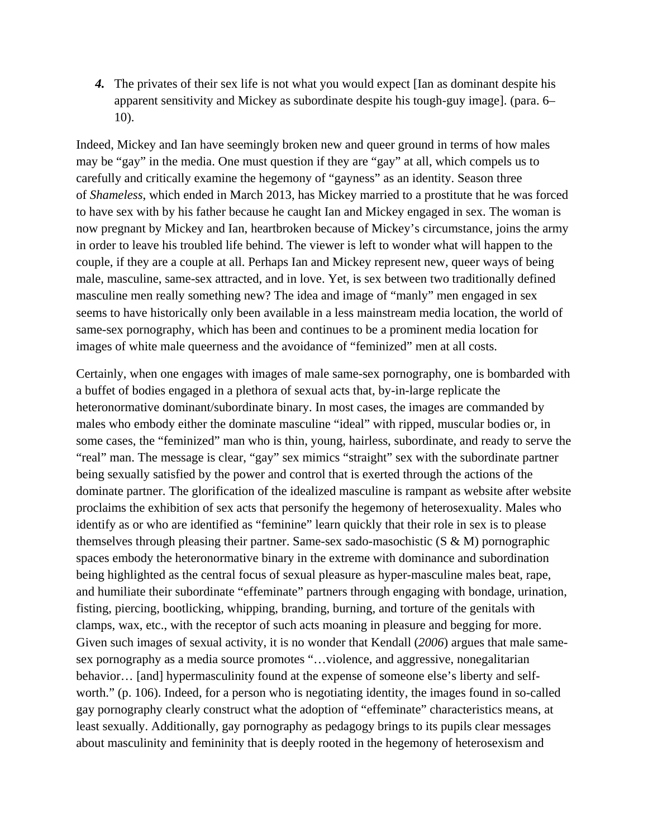*4.* The privates of their sex life is not what you would expect [Ian as dominant despite his apparent sensitivity and Mickey as subordinate despite his tough-guy image]. (para. 6– 10).

Indeed, Mickey and Ian have seemingly broken new and queer ground in terms of how males may be "gay" in the media. One must question if they are "gay" at all, which compels us to carefully and critically examine the hegemony of "gayness" as an identity. Season three of *Shameless*, which ended in March 2013, has Mickey married to a prostitute that he was forced to have sex with by his father because he caught Ian and Mickey engaged in sex. The woman is now pregnant by Mickey and Ian, heartbroken because of Mickey's circumstance, joins the army in order to leave his troubled life behind. The viewer is left to wonder what will happen to the couple, if they are a couple at all. Perhaps Ian and Mickey represent new, queer ways of being male, masculine, same-sex attracted, and in love. Yet, is sex between two traditionally defined masculine men really something new? The idea and image of "manly" men engaged in sex seems to have historically only been available in a less mainstream media location, the world of same-sex pornography, which has been and continues to be a prominent media location for images of white male queerness and the avoidance of "feminized" men at all costs.

Certainly, when one engages with images of male same-sex pornography, one is bombarded with a buffet of bodies engaged in a plethora of sexual acts that, by-in-large replicate the heteronormative dominant/subordinate binary. In most cases, the images are commanded by males who embody either the dominate masculine "ideal" with ripped, muscular bodies or, in some cases, the "feminized" man who is thin, young, hairless, subordinate, and ready to serve the "real" man. The message is clear, "gay" sex mimics "straight" sex with the subordinate partner being sexually satisfied by the power and control that is exerted through the actions of the dominate partner. The glorification of the idealized masculine is rampant as website after website proclaims the exhibition of sex acts that personify the hegemony of heterosexuality. Males who identify as or who are identified as "feminine" learn quickly that their role in sex is to please themselves through pleasing their partner. Same-sex sado-masochistic (S & M) pornographic spaces embody the heteronormative binary in the extreme with dominance and subordination being highlighted as the central focus of sexual pleasure as hyper-masculine males beat, rape, and humiliate their subordinate "effeminate" partners through engaging with bondage, urination, fisting, piercing, bootlicking, whipping, branding, burning, and torture of the genitals with clamps, wax, etc., with the receptor of such acts moaning in pleasure and begging for more. Given such images of sexual activity, it is no wonder that Kendall (*2006*) argues that male samesex pornography as a media source promotes "…violence, and aggressive, nonegalitarian behavior… [and] hypermasculinity found at the expense of someone else's liberty and selfworth." (p. 106). Indeed, for a person who is negotiating identity, the images found in so-called gay pornography clearly construct what the adoption of "effeminate" characteristics means, at least sexually. Additionally, gay pornography as pedagogy brings to its pupils clear messages about masculinity and femininity that is deeply rooted in the hegemony of heterosexism and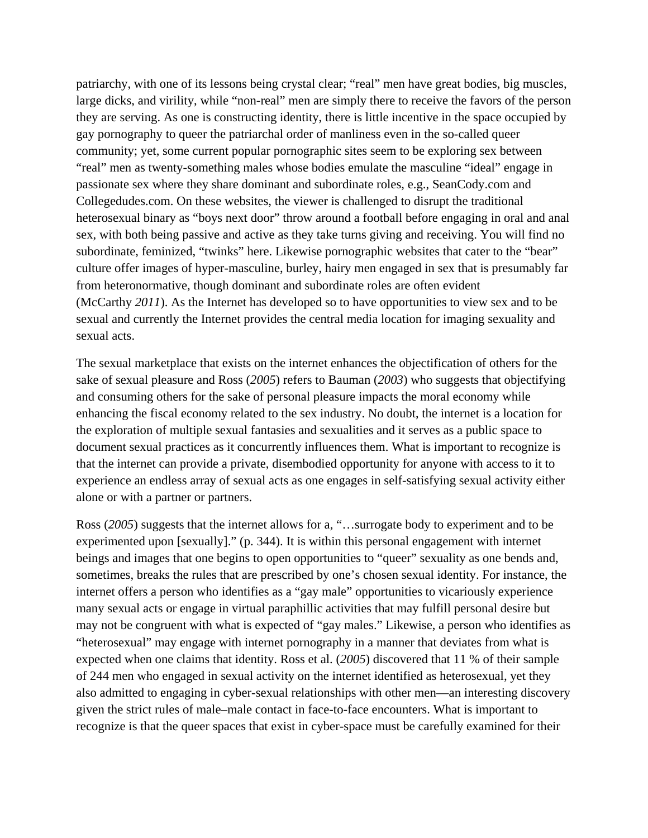patriarchy, with one of its lessons being crystal clear; "real" men have great bodies, big muscles, large dicks, and virility, while "non-real" men are simply there to receive the favors of the person they are serving. As one is constructing identity, there is little incentive in the space occupied by gay pornography to queer the patriarchal order of manliness even in the so-called queer community; yet, some current popular pornographic sites seem to be exploring sex between "real" men as twenty-something males whose bodies emulate the masculine "ideal" engage in passionate sex where they share dominant and subordinate roles, e.g., SeanCody.com and Collegedudes.com. On these websites, the viewer is challenged to disrupt the traditional heterosexual binary as "boys next door" throw around a football before engaging in oral and anal sex, with both being passive and active as they take turns giving and receiving. You will find no subordinate, feminized, "twinks" here. Likewise pornographic websites that cater to the "bear" culture offer images of hyper-masculine, burley, hairy men engaged in sex that is presumably far from heteronormative, though dominant and subordinate roles are often evident (McCarthy *2011*). As the Internet has developed so to have opportunities to view sex and to be sexual and currently the Internet provides the central media location for imaging sexuality and sexual acts.

The sexual marketplace that exists on the internet enhances the objectification of others for the sake of sexual pleasure and Ross (*2005*) refers to Bauman (*2003*) who suggests that objectifying and consuming others for the sake of personal pleasure impacts the moral economy while enhancing the fiscal economy related to the sex industry. No doubt, the internet is a location for the exploration of multiple sexual fantasies and sexualities and it serves as a public space to document sexual practices as it concurrently influences them. What is important to recognize is that the internet can provide a private, disembodied opportunity for anyone with access to it to experience an endless array of sexual acts as one engages in self-satisfying sexual activity either alone or with a partner or partners.

Ross (*2005*) suggests that the internet allows for a, "…surrogate body to experiment and to be experimented upon [sexually]." (p. 344). It is within this personal engagement with internet beings and images that one begins to open opportunities to "queer" sexuality as one bends and, sometimes, breaks the rules that are prescribed by one's chosen sexual identity. For instance, the internet offers a person who identifies as a "gay male" opportunities to vicariously experience many sexual acts or engage in virtual paraphillic activities that may fulfill personal desire but may not be congruent with what is expected of "gay males." Likewise, a person who identifies as "heterosexual" may engage with internet pornography in a manner that deviates from what is expected when one claims that identity. Ross et al. (*2005*) discovered that 11 % of their sample of 244 men who engaged in sexual activity on the internet identified as heterosexual, yet they also admitted to engaging in cyber-sexual relationships with other men—an interesting discovery given the strict rules of male–male contact in face-to-face encounters. What is important to recognize is that the queer spaces that exist in cyber-space must be carefully examined for their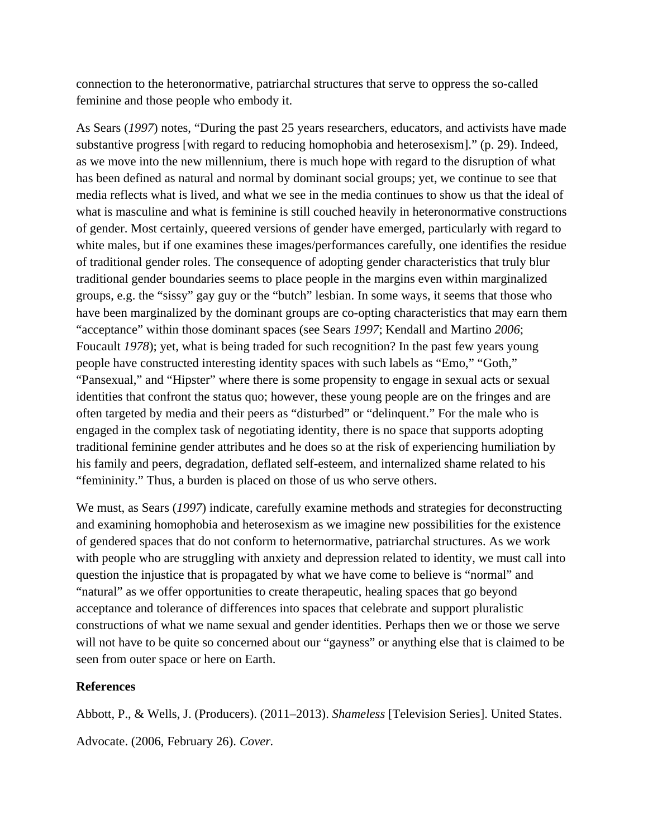connection to the heteronormative, patriarchal structures that serve to oppress the so-called feminine and those people who embody it.

As Sears (*1997*) notes, "During the past 25 years researchers, educators, and activists have made substantive progress [with regard to reducing homophobia and heterosexism]." (p. 29). Indeed, as we move into the new millennium, there is much hope with regard to the disruption of what has been defined as natural and normal by dominant social groups; yet, we continue to see that media reflects what is lived, and what we see in the media continues to show us that the ideal of what is masculine and what is feminine is still couched heavily in heteronormative constructions of gender. Most certainly, queered versions of gender have emerged, particularly with regard to white males, but if one examines these images/performances carefully, one identifies the residue of traditional gender roles. The consequence of adopting gender characteristics that truly blur traditional gender boundaries seems to place people in the margins even within marginalized groups, e.g. the "sissy" gay guy or the "butch" lesbian. In some ways, it seems that those who have been marginalized by the dominant groups are co-opting characteristics that may earn them "acceptance" within those dominant spaces (see Sears *1997*; Kendall and Martino *2006*; Foucault *1978*); yet, what is being traded for such recognition? In the past few years young people have constructed interesting identity spaces with such labels as "Emo," "Goth," "Pansexual," and "Hipster" where there is some propensity to engage in sexual acts or sexual identities that confront the status quo; however, these young people are on the fringes and are often targeted by media and their peers as "disturbed" or "delinquent." For the male who is engaged in the complex task of negotiating identity, there is no space that supports adopting traditional feminine gender attributes and he does so at the risk of experiencing humiliation by his family and peers, degradation, deflated self-esteem, and internalized shame related to his "femininity." Thus, a burden is placed on those of us who serve others.

We must, as Sears (*1997*) indicate, carefully examine methods and strategies for deconstructing and examining homophobia and heterosexism as we imagine new possibilities for the existence of gendered spaces that do not conform to heternormative, patriarchal structures. As we work with people who are struggling with anxiety and depression related to identity, we must call into question the injustice that is propagated by what we have come to believe is "normal" and "natural" as we offer opportunities to create therapeutic, healing spaces that go beyond acceptance and tolerance of differences into spaces that celebrate and support pluralistic constructions of what we name sexual and gender identities. Perhaps then we or those we serve will not have to be quite so concerned about our "gayness" or anything else that is claimed to be seen from outer space or here on Earth.

#### **References**

Abbott, P., & Wells, J. (Producers). (2011–2013). *Shameless* [Television Series]. United States. Advocate. (2006, February 26). *Cover.*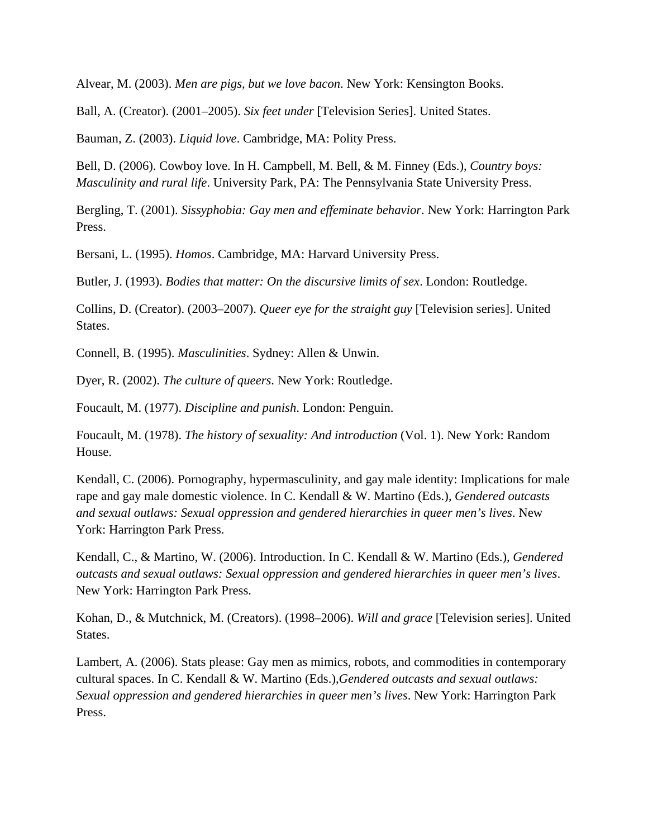Alvear, M. (2003). *Men are pigs, but we love bacon*. New York: Kensington Books.

Ball, A. (Creator). (2001–2005). *Six feet under* [Television Series]. United States.

Bauman, Z. (2003). *Liquid love*. Cambridge, MA: Polity Press.

Bell, D. (2006). Cowboy love. In H. Campbell, M. Bell, & M. Finney (Eds.), *Country boys: Masculinity and rural life*. University Park, PA: The Pennsylvania State University Press.

Bergling, T. (2001). *Sissyphobia: Gay men and effeminate behavior*. New York: Harrington Park Press.

Bersani, L. (1995). *Homos*. Cambridge, MA: Harvard University Press.

Butler, J. (1993). *Bodies that matter: On the discursive limits of sex*. London: Routledge.

Collins, D. (Creator). (2003–2007). *Queer eye for the straight guy* [Television series]. United States.

Connell, B. (1995). *Masculinities*. Sydney: Allen & Unwin.

Dyer, R. (2002). *The culture of queers*. New York: Routledge.

Foucault, M. (1977). *Discipline and punish*. London: Penguin.

Foucault, M. (1978). *The history of sexuality: And introduction* (Vol. 1). New York: Random House.

Kendall, C. (2006). Pornography, hypermasculinity, and gay male identity: Implications for male rape and gay male domestic violence. In C. Kendall & W. Martino (Eds.), *Gendered outcasts and sexual outlaws: Sexual oppression and gendered hierarchies in queer men's lives*. New York: Harrington Park Press.

Kendall, C., & Martino, W. (2006). Introduction. In C. Kendall & W. Martino (Eds.), *Gendered outcasts and sexual outlaws: Sexual oppression and gendered hierarchies in queer men's lives*. New York: Harrington Park Press.

Kohan, D., & Mutchnick, M. (Creators). (1998–2006). *Will and grace* [Television series]. United States.

Lambert, A. (2006). Stats please: Gay men as mimics, robots, and commodities in contemporary cultural spaces. In C. Kendall & W. Martino (Eds.),*Gendered outcasts and sexual outlaws: Sexual oppression and gendered hierarchies in queer men's lives*. New York: Harrington Park Press.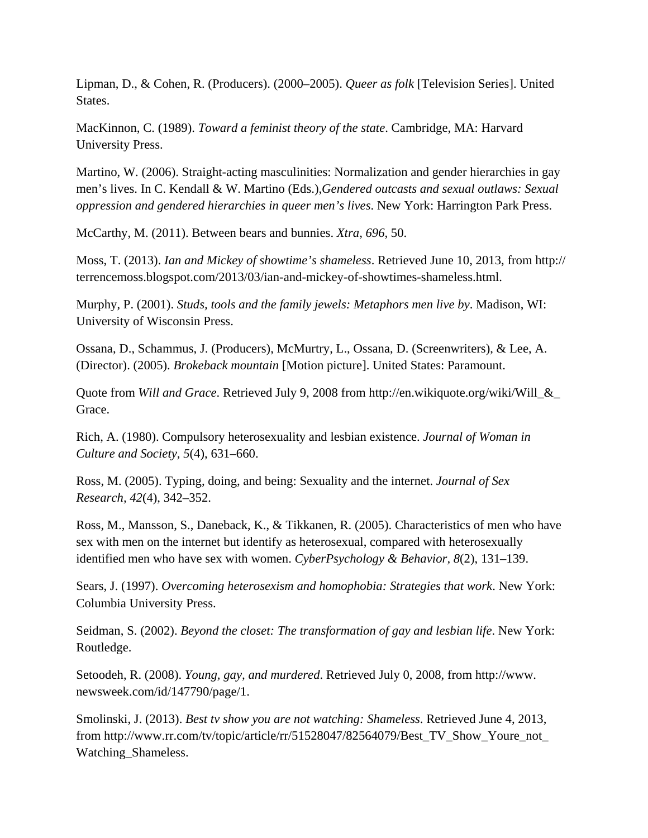Lipman, D., & Cohen, R. (Producers). (2000–2005). *Queer as folk* [Television Series]. United States.

MacKinnon, C. (1989). *Toward a feminist theory of the state*. Cambridge, MA: Harvard University Press.

Martino, W. (2006). Straight-acting masculinities: Normalization and gender hierarchies in gay men's lives. In C. Kendall & W. Martino (Eds.),*Gendered outcasts and sexual outlaws: Sexual oppression and gendered hierarchies in queer men's lives*. New York: Harrington Park Press.

McCarthy, M. (2011). Between bears and bunnies. *Xtra, 696*, 50.

Moss, T. (2013). *Ian and Mickey of showtime's shameless*. Retrieved June 10, 2013, from http:// terrencemoss.blogspot.com/2013/03/ian-and-mickey-of-showtimes-shameless.html.

Murphy, P. (2001). *Studs, tools and the family jewels: Metaphors men live by*. Madison, WI: University of Wisconsin Press.

Ossana, D., Schammus, J. (Producers), McMurtry, L., Ossana, D. (Screenwriters), & Lee, A. (Director). (2005). *Brokeback mountain* [Motion picture]. United States: Paramount.

Quote from *Will and Grace*. Retrieved July 9, 2008 from http://en.wikiquote.org/wiki/Will\_&\_ Grace.

Rich, A. (1980). Compulsory heterosexuality and lesbian existence. *Journal of Woman in Culture and Society, 5*(4), 631–660.

Ross, M. (2005). Typing, doing, and being: Sexuality and the internet. *Journal of Sex Research, 42*(4), 342–352.

Ross, M., Mansson, S., Daneback, K., & Tikkanen, R. (2005). Characteristics of men who have sex with men on the internet but identify as heterosexual, compared with heterosexually identified men who have sex with women. *CyberPsychology & Behavior, 8*(2), 131–139.

Sears, J. (1997). *Overcoming heterosexism and homophobia: Strategies that work*. New York: Columbia University Press.

Seidman, S. (2002). *Beyond the closet: The transformation of gay and lesbian life*. New York: Routledge.

Setoodeh, R. (2008). *Young, gay, and murdered*. Retrieved July 0, 2008, from http://www. newsweek.com/id/147790/page/1.

Smolinski, J. (2013). *Best tv show you are not watching: Shameless*. Retrieved June 4, 2013, from http://www.rr.com/tv/topic/article/rr/51528047/82564079/Best\_TV\_Show\_Youre\_not\_ Watching Shameless.